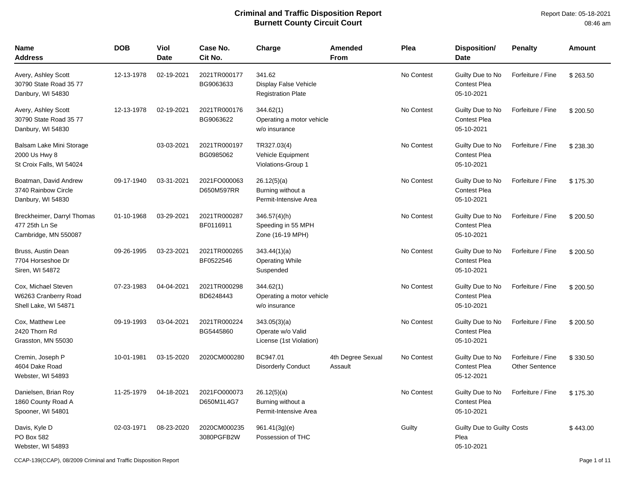Report Date: 05-18-2021 08:46 am

| <b>Name</b><br><b>Address</b>                                         | <b>DOB</b> | Viol<br><b>Date</b> | Case No.<br>Cit No.        | Charge                                                       | Amended<br><b>From</b>       | Plea       | <b>Disposition/</b><br><b>Date</b>                    | <b>Penalty</b>                             | <b>Amount</b> |
|-----------------------------------------------------------------------|------------|---------------------|----------------------------|--------------------------------------------------------------|------------------------------|------------|-------------------------------------------------------|--------------------------------------------|---------------|
| Avery, Ashley Scott<br>30790 State Road 35 77<br>Danbury, WI 54830    | 12-13-1978 | 02-19-2021          | 2021TR000177<br>BG9063633  | 341.62<br>Display False Vehicle<br><b>Registration Plate</b> |                              | No Contest | Guilty Due to No<br><b>Contest Plea</b><br>05-10-2021 | Forfeiture / Fine                          | \$263.50      |
| Avery, Ashley Scott<br>30790 State Road 35 77<br>Danbury, WI 54830    | 12-13-1978 | 02-19-2021          | 2021TR000176<br>BG9063622  | 344.62(1)<br>Operating a motor vehicle<br>w/o insurance      |                              | No Contest | Guilty Due to No<br><b>Contest Plea</b><br>05-10-2021 | Forfeiture / Fine                          | \$200.50      |
| Balsam Lake Mini Storage<br>2000 Us Hwy 8<br>St Croix Falls, WI 54024 |            | 03-03-2021          | 2021TR000197<br>BG0985062  | TR327.03(4)<br>Vehicle Equipment<br>Violations-Group 1       |                              | No Contest | Guilty Due to No<br><b>Contest Plea</b><br>05-10-2021 | Forfeiture / Fine                          | \$238.30      |
| Boatman, David Andrew<br>3740 Rainbow Circle<br>Danbury, WI 54830     | 09-17-1940 | 03-31-2021          | 2021FO000063<br>D650M597RR | 26.12(5)(a)<br>Burning without a<br>Permit-Intensive Area    |                              | No Contest | Guilty Due to No<br>Contest Plea<br>05-10-2021        | Forfeiture / Fine                          | \$175.30      |
| Breckheimer, Darryl Thomas<br>477 25th Ln Se<br>Cambridge, MN 550087  | 01-10-1968 | 03-29-2021          | 2021TR000287<br>BF0116911  | $346.57(4)$ (h)<br>Speeding in 55 MPH<br>Zone (16-19 MPH)    |                              | No Contest | Guilty Due to No<br><b>Contest Plea</b><br>05-10-2021 | Forfeiture / Fine                          | \$200.50      |
| Bruss, Austin Dean<br>7704 Horseshoe Dr<br>Siren, WI 54872            | 09-26-1995 | 03-23-2021          | 2021TR000265<br>BF0522546  | 343.44(1)(a)<br><b>Operating While</b><br>Suspended          |                              | No Contest | Guilty Due to No<br><b>Contest Plea</b><br>05-10-2021 | Forfeiture / Fine                          | \$200.50      |
| Cox, Michael Steven<br>W6263 Cranberry Road<br>Shell Lake, WI 54871   | 07-23-1983 | 04-04-2021          | 2021TR000298<br>BD6248443  | 344.62(1)<br>Operating a motor vehicle<br>w/o insurance      |                              | No Contest | Guilty Due to No<br><b>Contest Plea</b><br>05-10-2021 | Forfeiture / Fine                          | \$200.50      |
| Cox, Matthew Lee<br>2420 Thorn Rd<br>Grasston, MN 55030               | 09-19-1993 | 03-04-2021          | 2021TR000224<br>BG5445860  | 343.05(3)(a)<br>Operate w/o Valid<br>License (1st Violation) |                              | No Contest | Guilty Due to No<br><b>Contest Plea</b><br>05-10-2021 | Forfeiture / Fine                          | \$200.50      |
| Cremin, Joseph P<br>4604 Dake Road<br>Webster, WI 54893               | 10-01-1981 | 03-15-2020          | 2020CM000280               | BC947.01<br><b>Disorderly Conduct</b>                        | 4th Degree Sexual<br>Assault | No Contest | Guilty Due to No<br><b>Contest Plea</b><br>05-12-2021 | Forfeiture / Fine<br><b>Other Sentence</b> | \$330.50      |
| Danielsen, Brian Roy<br>1860 County Road A<br>Spooner, WI 54801       | 11-25-1979 | 04-18-2021          | 2021FO000073<br>D650M1L4G7 | 26.12(5)(a)<br>Burning without a<br>Permit-Intensive Area    |                              | No Contest | Guilty Due to No<br><b>Contest Plea</b><br>05-10-2021 | Forfeiture / Fine                          | \$175.30      |
| Davis, Kyle D<br>PO Box 582<br>Webster, WI 54893                      | 02-03-1971 | 08-23-2020          | 2020CM000235<br>3080PGFB2W | 961.41(3g)(e)<br>Possession of THC                           |                              | Guilty     | Guilty Due to Guilty Costs<br>Plea<br>05-10-2021      |                                            | \$443.00      |

CCAP-139(CCAP), 08/2009 Criminal and Traffic Disposition Report Page 1 of 11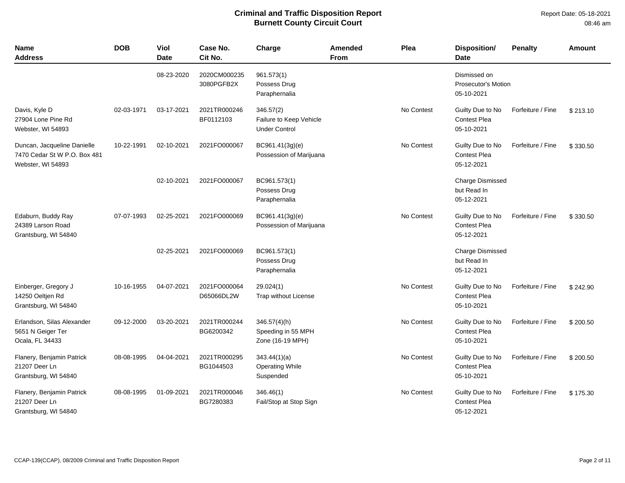| <b>Name</b><br>Address                                                           | <b>DOB</b> | <b>Viol</b><br><b>Date</b> | Case No.<br>Cit No.        | Charge                                                       | <b>Amended</b><br><b>From</b> | Plea       | <b>Disposition/</b><br><b>Date</b>                    | <b>Penalty</b>    | Amount   |
|----------------------------------------------------------------------------------|------------|----------------------------|----------------------------|--------------------------------------------------------------|-------------------------------|------------|-------------------------------------------------------|-------------------|----------|
|                                                                                  |            | 08-23-2020                 | 2020CM000235<br>3080PGFB2X | 961.573(1)<br>Possess Drug<br>Paraphernalia                  |                               |            | Dismissed on<br>Prosecutor's Motion<br>05-10-2021     |                   |          |
| Davis, Kyle D<br>27904 Lone Pine Rd<br>Webster, WI 54893                         | 02-03-1971 | 03-17-2021                 | 2021TR000246<br>BF0112103  | 346.57(2)<br>Failure to Keep Vehicle<br><b>Under Control</b> |                               | No Contest | Guilty Due to No<br>Contest Plea<br>05-10-2021        | Forfeiture / Fine | \$213.10 |
| Duncan, Jacqueline Danielle<br>7470 Cedar St W P.O. Box 481<br>Webster, WI 54893 | 10-22-1991 | 02-10-2021                 | 2021FO000067               | BC961.41(3g)(e)<br>Possession of Marijuana                   |                               | No Contest | Guilty Due to No<br>Contest Plea<br>05-12-2021        | Forfeiture / Fine | \$330.50 |
|                                                                                  |            | 02-10-2021                 | 2021FO000067               | BC961.573(1)<br>Possess Drug<br>Paraphernalia                |                               |            | <b>Charge Dismissed</b><br>but Read In<br>05-12-2021  |                   |          |
| Edaburn, Buddy Ray<br>24389 Larson Road<br>Grantsburg, WI 54840                  | 07-07-1993 | 02-25-2021                 | 2021FO000069               | BC961.41(3g)(e)<br>Possession of Marijuana                   |                               | No Contest | Guilty Due to No<br><b>Contest Plea</b><br>05-12-2021 | Forfeiture / Fine | \$330.50 |
|                                                                                  |            | 02-25-2021                 | 2021FO000069               | BC961.573(1)<br>Possess Drug<br>Paraphernalia                |                               |            | <b>Charge Dismissed</b><br>but Read In<br>05-12-2021  |                   |          |
| Einberger, Gregory J<br>14250 Oeltjen Rd<br>Grantsburg, WI 54840                 | 10-16-1955 | 04-07-2021                 | 2021FO000064<br>D65066DL2W | 29.024(1)<br>Trap without License                            |                               | No Contest | Guilty Due to No<br><b>Contest Plea</b><br>05-10-2021 | Forfeiture / Fine | \$242.90 |
| Erlandson, Silas Alexander<br>5651 N Geiger Ter<br>Ocala, FL 34433               | 09-12-2000 | 03-20-2021                 | 2021TR000244<br>BG6200342  | 346.57(4)(h)<br>Speeding in 55 MPH<br>Zone (16-19 MPH)       |                               | No Contest | Guilty Due to No<br><b>Contest Plea</b><br>05-10-2021 | Forfeiture / Fine | \$200.50 |
| Flanery, Benjamin Patrick<br>21207 Deer Ln<br>Grantsburg, WI 54840               | 08-08-1995 | 04-04-2021                 | 2021TR000295<br>BG1044503  | 343.44(1)(a)<br><b>Operating While</b><br>Suspended          |                               | No Contest | Guilty Due to No<br>Contest Plea<br>05-10-2021        | Forfeiture / Fine | \$200.50 |
| Flanery, Benjamin Patrick<br>21207 Deer Ln<br>Grantsburg, WI 54840               | 08-08-1995 | 01-09-2021                 | 2021TR000046<br>BG7280383  | 346.46(1)<br>Fail/Stop at Stop Sign                          |                               | No Contest | Guilty Due to No<br><b>Contest Plea</b><br>05-12-2021 | Forfeiture / Fine | \$175.30 |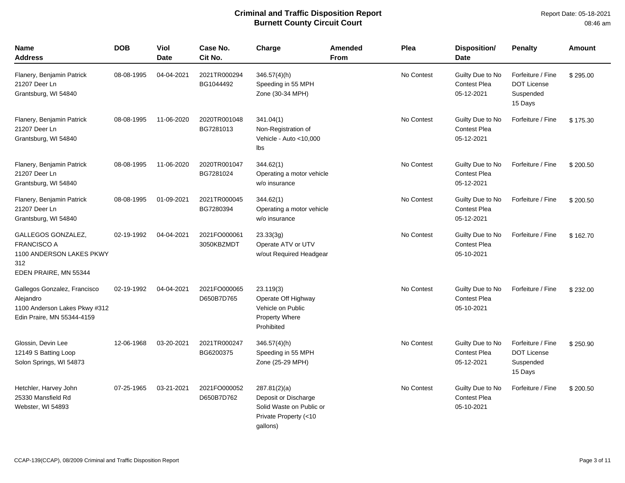| <b>Name</b><br><b>Address</b>                                                                            | <b>DOB</b> | Viol<br><b>Date</b> | Case No.<br>Cit No.        | Charge                                                                                                | Amended<br>From | Plea       | <b>Disposition/</b><br><b>Date</b>                    | <b>Penalty</b>                                                  | <b>Amount</b> |
|----------------------------------------------------------------------------------------------------------|------------|---------------------|----------------------------|-------------------------------------------------------------------------------------------------------|-----------------|------------|-------------------------------------------------------|-----------------------------------------------------------------|---------------|
| Flanery, Benjamin Patrick<br>21207 Deer Ln<br>Grantsburg, WI 54840                                       | 08-08-1995 | 04-04-2021          | 2021TR000294<br>BG1044492  | $346.57(4)$ (h)<br>Speeding in 55 MPH<br>Zone (30-34 MPH)                                             |                 | No Contest | Guilty Due to No<br><b>Contest Plea</b><br>05-12-2021 | Forfeiture / Fine<br><b>DOT License</b><br>Suspended<br>15 Days | \$295.00      |
| Flanery, Benjamin Patrick<br>21207 Deer Ln<br>Grantsburg, WI 54840                                       | 08-08-1995 | 11-06-2020          | 2020TR001048<br>BG7281013  | 341.04(1)<br>Non-Registration of<br>Vehicle - Auto <10,000<br>lbs                                     |                 | No Contest | Guilty Due to No<br><b>Contest Plea</b><br>05-12-2021 | Forfeiture / Fine                                               | \$175.30      |
| Flanery, Benjamin Patrick<br>21207 Deer Ln<br>Grantsburg, WI 54840                                       | 08-08-1995 | 11-06-2020          | 2020TR001047<br>BG7281024  | 344.62(1)<br>Operating a motor vehicle<br>w/o insurance                                               |                 | No Contest | Guilty Due to No<br><b>Contest Plea</b><br>05-12-2021 | Forfeiture / Fine                                               | \$200.50      |
| Flanery, Benjamin Patrick<br>21207 Deer Ln<br>Grantsburg, WI 54840                                       | 08-08-1995 | 01-09-2021          | 2021TR000045<br>BG7280394  | 344.62(1)<br>Operating a motor vehicle<br>w/o insurance                                               |                 | No Contest | Guilty Due to No<br><b>Contest Plea</b><br>05-12-2021 | Forfeiture / Fine                                               | \$200.50      |
| GALLEGOS GONZALEZ,<br><b>FRANCISCO A</b><br>1100 ANDERSON LAKES PKWY<br>312<br>EDEN PRAIRE, MN 55344     | 02-19-1992 | 04-04-2021          | 2021FO000061<br>3050KBZMDT | 23.33(3g)<br>Operate ATV or UTV<br>w/out Required Headgear                                            |                 | No Contest | Guilty Due to No<br><b>Contest Plea</b><br>05-10-2021 | Forfeiture / Fine                                               | \$162.70      |
| Gallegos Gonzalez, Francisco<br>Alejandro<br>1100 Anderson Lakes Pkwy #312<br>Edin Praire, MN 55344-4159 | 02-19-1992 | 04-04-2021          | 2021FO000065<br>D650B7D765 | 23.119(3)<br>Operate Off Highway<br>Vehicle on Public<br><b>Property Where</b><br>Prohibited          |                 | No Contest | Guilty Due to No<br><b>Contest Plea</b><br>05-10-2021 | Forfeiture / Fine                                               | \$232.00      |
| Glossin, Devin Lee<br>12149 S Batting Loop<br>Solon Springs, WI 54873                                    | 12-06-1968 | 03-20-2021          | 2021TR000247<br>BG6200375  | $346.57(4)$ (h)<br>Speeding in 55 MPH<br>Zone (25-29 MPH)                                             |                 | No Contest | Guilty Due to No<br><b>Contest Plea</b><br>05-12-2021 | Forfeiture / Fine<br><b>DOT License</b><br>Suspended<br>15 Days | \$250.90      |
| Hetchler, Harvey John<br>25330 Mansfield Rd<br>Webster, WI 54893                                         | 07-25-1965 | 03-21-2021          | 2021FO000052<br>D650B7D762 | 287.81(2)(a)<br>Deposit or Discharge<br>Solid Waste on Public or<br>Private Property (<10<br>gallons) |                 | No Contest | Guilty Due to No<br><b>Contest Plea</b><br>05-10-2021 | Forfeiture / Fine                                               | \$200.50      |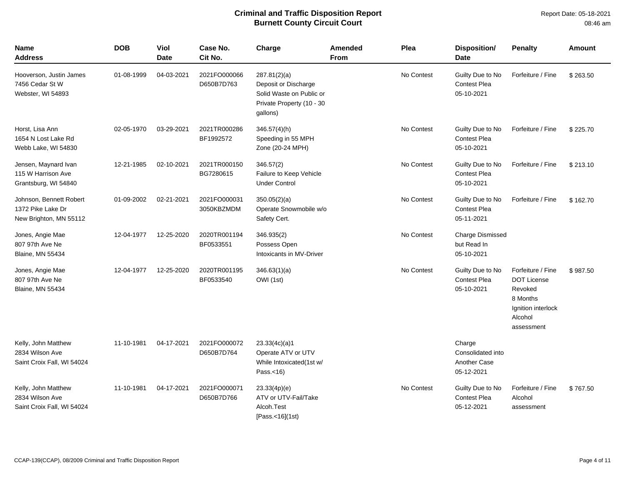| <b>Name</b><br><b>Address</b>                                          | <b>DOB</b> | <b>Viol</b><br><b>Date</b> | Case No.<br>Cit No.        | Charge                                                                                                    | <b>Amended</b><br><b>From</b> | Plea       | <b>Disposition/</b><br><b>Date</b>                               | <b>Penalty</b>                                                                                                | Amount   |
|------------------------------------------------------------------------|------------|----------------------------|----------------------------|-----------------------------------------------------------------------------------------------------------|-------------------------------|------------|------------------------------------------------------------------|---------------------------------------------------------------------------------------------------------------|----------|
| Hooverson, Justin James<br>7456 Cedar St W<br>Webster, WI 54893        | 01-08-1999 | 04-03-2021                 | 2021FO000066<br>D650B7D763 | 287.81(2)(a)<br>Deposit or Discharge<br>Solid Waste on Public or<br>Private Property (10 - 30<br>gallons) |                               | No Contest | Guilty Due to No<br><b>Contest Plea</b><br>05-10-2021            | Forfeiture / Fine                                                                                             | \$263.50 |
| Horst, Lisa Ann<br>1654 N Lost Lake Rd<br>Webb Lake, WI 54830          | 02-05-1970 | 03-29-2021                 | 2021TR000286<br>BF1992572  | $346.57(4)$ (h)<br>Speeding in 55 MPH<br>Zone (20-24 MPH)                                                 |                               | No Contest | Guilty Due to No<br><b>Contest Plea</b><br>05-10-2021            | Forfeiture / Fine                                                                                             | \$225.70 |
| Jensen, Maynard Ivan<br>115 W Harrison Ave<br>Grantsburg, WI 54840     | 12-21-1985 | 02-10-2021                 | 2021TR000150<br>BG7280615  | 346.57(2)<br>Failure to Keep Vehicle<br><b>Under Control</b>                                              |                               | No Contest | Guilty Due to No<br><b>Contest Plea</b><br>05-10-2021            | Forfeiture / Fine                                                                                             | \$213.10 |
| Johnson, Bennett Robert<br>1372 Pike Lake Dr<br>New Brighton, MN 55112 | 01-09-2002 | 02-21-2021                 | 2021FO000031<br>3050KBZMDM | 350.05(2)(a)<br>Operate Snowmobile w/o<br>Safety Cert.                                                    |                               | No Contest | Guilty Due to No<br><b>Contest Plea</b><br>05-11-2021            | Forfeiture / Fine                                                                                             | \$162.70 |
| Jones, Angie Mae<br>807 97th Ave Ne<br>Blaine, MN 55434                | 12-04-1977 | 12-25-2020                 | 2020TR001194<br>BF0533551  | 346.935(2)<br>Possess Open<br>Intoxicants in MV-Driver                                                    |                               | No Contest | Charge Dismissed<br>but Read In<br>05-10-2021                    |                                                                                                               |          |
| Jones, Angie Mae<br>807 97th Ave Ne<br><b>Blaine, MN 55434</b>         | 12-04-1977 | 12-25-2020                 | 2020TR001195<br>BF0533540  | 346.63(1)(a)<br>OWI (1st)                                                                                 |                               | No Contest | Guilty Due to No<br><b>Contest Plea</b><br>05-10-2021            | Forfeiture / Fine<br><b>DOT License</b><br>Revoked<br>8 Months<br>Ignition interlock<br>Alcohol<br>assessment | \$987.50 |
| Kelly, John Matthew<br>2834 Wilson Ave<br>Saint Croix Fall, WI 54024   | 11-10-1981 | 04-17-2021                 | 2021FO000072<br>D650B7D764 | 23.33(4c)(a)1<br>Operate ATV or UTV<br>While Intoxicated(1st w/<br>Pass. $<$ 16)                          |                               |            | Charge<br>Consolidated into<br><b>Another Case</b><br>05-12-2021 |                                                                                                               |          |
| Kelly, John Matthew<br>2834 Wilson Ave<br>Saint Croix Fall, WI 54024   | 11-10-1981 | 04-17-2021                 | 2021FO000071<br>D650B7D766 | 23.33(4p)(e)<br>ATV or UTV-Fail/Take<br>Alcoh.Test<br>[Pass.<16](1st)                                     |                               | No Contest | Guilty Due to No<br><b>Contest Plea</b><br>05-12-2021            | Forfeiture / Fine<br>Alcohol<br>assessment                                                                    | \$767.50 |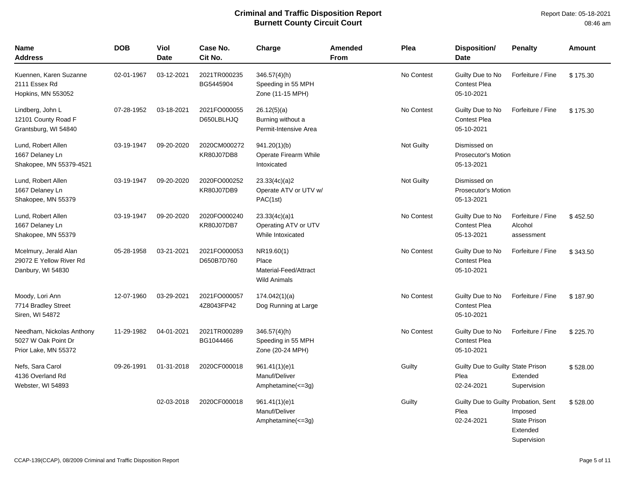Report Date: 05-18-2021 08:46 am

| <b>Name</b><br>Address                                                   | <b>DOB</b> | Viol<br><b>Date</b> | Case No.<br>Cit No.        | Charge                                                              | Amended<br><b>From</b> | Plea              | <b>Disposition/</b><br>Date                                | <b>Penalty</b>                                            | Amount   |
|--------------------------------------------------------------------------|------------|---------------------|----------------------------|---------------------------------------------------------------------|------------------------|-------------------|------------------------------------------------------------|-----------------------------------------------------------|----------|
| Kuennen, Karen Suzanne<br>2111 Essex Rd<br>Hopkins, MN 553052            | 02-01-1967 | 03-12-2021          | 2021TR000235<br>BG5445904  | $346.57(4)$ (h)<br>Speeding in 55 MPH<br>Zone (11-15 MPH)           |                        | No Contest        | Guilty Due to No<br><b>Contest Plea</b><br>05-10-2021      | Forfeiture / Fine                                         | \$175.30 |
| Lindberg, John L<br>12101 County Road F<br>Grantsburg, WI 54840          | 07-28-1952 | 03-18-2021          | 2021FO000055<br>D650LBLHJQ | 26.12(5)(a)<br>Burning without a<br>Permit-Intensive Area           |                        | No Contest        | Guilty Due to No<br><b>Contest Plea</b><br>05-10-2021      | Forfeiture / Fine                                         | \$175.30 |
| Lund, Robert Allen<br>1667 Delaney Ln<br>Shakopee, MN 55379-4521         | 03-19-1947 | 09-20-2020          | 2020CM000272<br>KR80J07DB8 | 941.20(1)(b)<br>Operate Firearm While<br>Intoxicated                |                        | <b>Not Guilty</b> | Dismissed on<br>Prosecutor's Motion<br>05-13-2021          |                                                           |          |
| Lund, Robert Allen<br>1667 Delaney Ln<br>Shakopee, MN 55379              | 03-19-1947 | 09-20-2020          | 2020FO000252<br>KR80J07DB9 | 23.33(4c)(a)2<br>Operate ATV or UTV w/<br>PAC(1st)                  |                        | Not Guilty        | Dismissed on<br>Prosecutor's Motion<br>05-13-2021          |                                                           |          |
| Lund, Robert Allen<br>1667 Delaney Ln<br>Shakopee, MN 55379              | 03-19-1947 | 09-20-2020          | 2020FO000240<br>KR80J07DB7 | 23.33(4c)(a)1<br>Operating ATV or UTV<br>While Intoxicated          |                        | No Contest        | Guilty Due to No<br><b>Contest Plea</b><br>05-13-2021      | Forfeiture / Fine<br>Alcohol<br>assessment                | \$452.50 |
| Mcelmury, Jerald Alan<br>29072 E Yellow River Rd<br>Danbury, WI 54830    | 05-28-1958 | 03-21-2021          | 2021FO000053<br>D650B7D760 | NR19.60(1)<br>Place<br>Material-Feed/Attract<br><b>Wild Animals</b> |                        | No Contest        | Guilty Due to No<br><b>Contest Plea</b><br>05-10-2021      | Forfeiture / Fine                                         | \$343.50 |
| Moody, Lori Ann<br>7714 Bradley Street<br>Siren, WI 54872                | 12-07-1960 | 03-29-2021          | 2021FO000057<br>4Z8043FP42 | 174.042(1)(a)<br>Dog Running at Large                               |                        | No Contest        | Guilty Due to No<br><b>Contest Plea</b><br>05-10-2021      | Forfeiture / Fine                                         | \$187.90 |
| Needham, Nickolas Anthony<br>5027 W Oak Point Dr<br>Prior Lake, MN 55372 | 11-29-1982 | 04-01-2021          | 2021TR000289<br>BG1044466  | $346.57(4)$ (h)<br>Speeding in 55 MPH<br>Zone (20-24 MPH)           |                        | No Contest        | Guilty Due to No<br><b>Contest Plea</b><br>05-10-2021      | Forfeiture / Fine                                         | \$225.70 |
| Nefs, Sara Carol<br>4136 Overland Rd<br>Webster, WI 54893                | 09-26-1991 | 01-31-2018          | 2020CF000018               | 961.41(1)(e)1<br>Manuf/Deliver<br>Amphetamine $(\leq=3)$            |                        | Guilty            | Guilty Due to Guilty State Prison<br>Plea<br>02-24-2021    | Extended<br>Supervision                                   | \$528.00 |
|                                                                          |            | 02-03-2018          | 2020CF000018               | 961.41(1)(e)1<br>Manuf/Deliver<br>Amphetamine(<=3g)                 |                        | Guilty            | Guilty Due to Guilty Probation, Sent<br>Plea<br>02-24-2021 | Imposed<br><b>State Prison</b><br>Extended<br>Supervision | \$528.00 |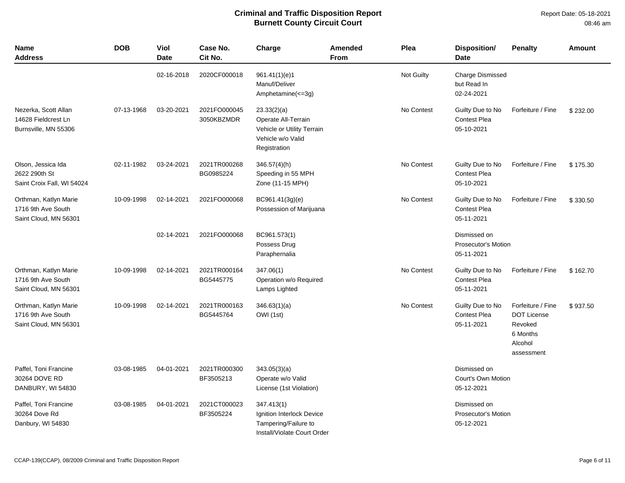| <b>Name</b><br><b>Address</b>                                        | <b>DOB</b> | <b>Viol</b><br><b>Date</b> | Case No.<br>Cit No.        | Charge                                                                                                | <b>Amended</b><br>From | Plea       | <b>Disposition/</b><br><b>Date</b>                       | <b>Penalty</b>                                                                          | <b>Amount</b> |
|----------------------------------------------------------------------|------------|----------------------------|----------------------------|-------------------------------------------------------------------------------------------------------|------------------------|------------|----------------------------------------------------------|-----------------------------------------------------------------------------------------|---------------|
|                                                                      |            | 02-16-2018                 | 2020CF000018               | 961.41(1)(e)1<br>Manuf/Deliver<br>Amphetamine(<=3g)                                                   |                        | Not Guilty | <b>Charge Dismissed</b><br>but Read In<br>02-24-2021     |                                                                                         |               |
| Nezerka, Scott Allan<br>14628 Fieldcrest Ln<br>Burnsville, MN 55306  | 07-13-1968 | 03-20-2021                 | 2021FO000045<br>3050KBZMDR | 23.33(2)(a)<br>Operate All-Terrain<br>Vehicle or Utility Terrain<br>Vehicle w/o Valid<br>Registration |                        | No Contest | Guilty Due to No<br><b>Contest Plea</b><br>05-10-2021    | Forfeiture / Fine                                                                       | \$232.00      |
| Olson, Jessica Ida<br>2622 290th St<br>Saint Croix Fall, WI 54024    | 02-11-1982 | 03-24-2021                 | 2021TR000268<br>BG0985224  | 346.57(4)(h)<br>Speeding in 55 MPH<br>Zone (11-15 MPH)                                                |                        | No Contest | Guilty Due to No<br><b>Contest Plea</b><br>05-10-2021    | Forfeiture / Fine                                                                       | \$175.30      |
| Orthman, Katlyn Marie<br>1716 9th Ave South<br>Saint Cloud, MN 56301 | 10-09-1998 | 02-14-2021                 | 2021FO000068               | BC961.41(3g)(e)<br>Possession of Marijuana                                                            |                        | No Contest | Guilty Due to No<br><b>Contest Plea</b><br>05-11-2021    | Forfeiture / Fine                                                                       | \$330.50      |
|                                                                      |            | 02-14-2021                 | 2021FO000068               | BC961.573(1)<br>Possess Drug<br>Paraphernalia                                                         |                        |            | Dismissed on<br><b>Prosecutor's Motion</b><br>05-11-2021 |                                                                                         |               |
| Orthman, Katlyn Marie<br>1716 9th Ave South<br>Saint Cloud, MN 56301 | 10-09-1998 | 02-14-2021                 | 2021TR000164<br>BG5445775  | 347.06(1)<br>Operation w/o Required<br>Lamps Lighted                                                  |                        | No Contest | Guilty Due to No<br><b>Contest Plea</b><br>05-11-2021    | Forfeiture / Fine                                                                       | \$162.70      |
| Orthman, Katlyn Marie<br>1716 9th Ave South<br>Saint Cloud, MN 56301 | 10-09-1998 | 02-14-2021                 | 2021TR000163<br>BG5445764  | 346.63(1)(a)<br>OWI (1st)                                                                             |                        | No Contest | Guilty Due to No<br><b>Contest Plea</b><br>05-11-2021    | Forfeiture / Fine<br><b>DOT License</b><br>Revoked<br>6 Months<br>Alcohol<br>assessment | \$937.50      |
| Paffel, Toni Francine<br>30264 DOVE RD<br>DANBURY, WI 54830          | 03-08-1985 | 04-01-2021                 | 2021TR000300<br>BF3505213  | 343.05(3)(a)<br>Operate w/o Valid<br>License (1st Violation)                                          |                        |            | Dismissed on<br>Court's Own Motion<br>05-12-2021         |                                                                                         |               |
| Paffel, Toni Francine<br>30264 Dove Rd<br>Danbury, WI 54830          | 03-08-1985 | 04-01-2021                 | 2021CT000023<br>BF3505224  | 347.413(1)<br>Ignition Interlock Device<br>Tampering/Failure to<br>Install/Violate Court Order        |                        |            | Dismissed on<br>Prosecutor's Motion<br>05-12-2021        |                                                                                         |               |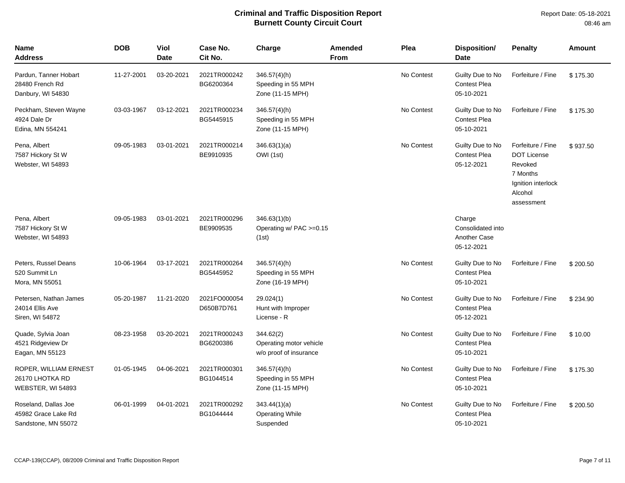Report Date: 05-18-2021 08:46 am

| <b>Name</b><br>Address                                             | <b>DOB</b> | <b>Viol</b><br><b>Date</b> | Case No.<br>Cit No.        | Charge                                                         | <b>Amended</b><br><b>From</b> | Plea       | Disposition/<br><b>Date</b>                               | <b>Penalty</b>                                                                                                | <b>Amount</b> |
|--------------------------------------------------------------------|------------|----------------------------|----------------------------|----------------------------------------------------------------|-------------------------------|------------|-----------------------------------------------------------|---------------------------------------------------------------------------------------------------------------|---------------|
| Pardun, Tanner Hobart<br>28480 French Rd<br>Danbury, WI 54830      | 11-27-2001 | 03-20-2021                 | 2021TR000242<br>BG6200364  | $346.57(4)$ (h)<br>Speeding in 55 MPH<br>Zone (11-15 MPH)      |                               | No Contest | Guilty Due to No<br>Contest Plea<br>05-10-2021            | Forfeiture / Fine                                                                                             | \$175.30      |
| Peckham, Steven Wayne<br>4924 Dale Dr<br>Edina, MN 554241          | 03-03-1967 | 03-12-2021                 | 2021TR000234<br>BG5445915  | $346.57(4)$ (h)<br>Speeding in 55 MPH<br>Zone (11-15 MPH)      |                               | No Contest | Guilty Due to No<br><b>Contest Plea</b><br>05-10-2021     | Forfeiture / Fine                                                                                             | \$175.30      |
| Pena, Albert<br>7587 Hickory St W<br>Webster, WI 54893             | 09-05-1983 | 03-01-2021                 | 2021TR000214<br>BE9910935  | 346.63(1)(a)<br>OWI (1st)                                      |                               | No Contest | Guilty Due to No<br><b>Contest Plea</b><br>05-12-2021     | Forfeiture / Fine<br><b>DOT License</b><br>Revoked<br>7 Months<br>Ignition interlock<br>Alcohol<br>assessment | \$937.50      |
| Pena, Albert<br>7587 Hickory St W<br>Webster, WI 54893             | 09-05-1983 | 03-01-2021                 | 2021TR000296<br>BE9909535  | 346.63(1)(b)<br>Operating $w/$ PAC $>=0.15$<br>(1st)           |                               |            | Charge<br>Consolidated into<br>Another Case<br>05-12-2021 |                                                                                                               |               |
| Peters, Russel Deans<br>520 Summit Ln<br>Mora, MN 55051            | 10-06-1964 | 03-17-2021                 | 2021TR000264<br>BG5445952  | $346.57(4)$ (h)<br>Speeding in 55 MPH<br>Zone (16-19 MPH)      |                               | No Contest | Guilty Due to No<br>Contest Plea<br>05-10-2021            | Forfeiture / Fine                                                                                             | \$200.50      |
| Petersen, Nathan James<br>24014 Ellis Ave<br>Siren, WI 54872       | 05-20-1987 | 11-21-2020                 | 2021FO000054<br>D650B7D761 | 29.024(1)<br>Hunt with Improper<br>License - R                 |                               | No Contest | Guilty Due to No<br><b>Contest Plea</b><br>05-12-2021     | Forfeiture / Fine                                                                                             | \$234.90      |
| Quade, Sylvia Joan<br>4521 Ridgeview Dr<br>Eagan, MN 55123         | 08-23-1958 | 03-20-2021                 | 2021TR000243<br>BG6200386  | 344.62(2)<br>Operating motor vehicle<br>w/o proof of insurance |                               | No Contest | Guilty Due to No<br><b>Contest Plea</b><br>05-10-2021     | Forfeiture / Fine                                                                                             | \$10.00       |
| ROPER, WILLIAM ERNEST<br>26170 LHOTKA RD<br>WEBSTER, WI 54893      | 01-05-1945 | 04-06-2021                 | 2021TR000301<br>BG1044514  | $346.57(4)$ (h)<br>Speeding in 55 MPH<br>Zone (11-15 MPH)      |                               | No Contest | Guilty Due to No<br><b>Contest Plea</b><br>05-10-2021     | Forfeiture / Fine                                                                                             | \$175.30      |
| Roseland, Dallas Joe<br>45982 Grace Lake Rd<br>Sandstone, MN 55072 | 06-01-1999 | 04-01-2021                 | 2021TR000292<br>BG1044444  | 343.44(1)(a)<br><b>Operating While</b><br>Suspended            |                               | No Contest | Guilty Due to No<br><b>Contest Plea</b><br>05-10-2021     | Forfeiture / Fine                                                                                             | \$200.50      |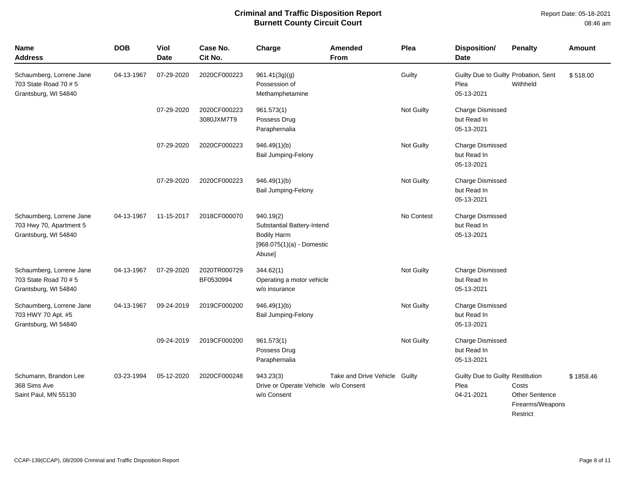| Name<br>Address                                                             | <b>DOB</b> | Viol<br><b>Date</b> | Case No.<br>Cit No.        | Charge                                                                                                 | Amended<br>From        | Plea       | Disposition/<br><b>Date</b>                                | <b>Penalty</b>                                          | Amount    |
|-----------------------------------------------------------------------------|------------|---------------------|----------------------------|--------------------------------------------------------------------------------------------------------|------------------------|------------|------------------------------------------------------------|---------------------------------------------------------|-----------|
| Schaumberg, Lorrene Jane<br>703 State Road 70 # 5<br>Grantsburg, WI 54840   | 04-13-1967 | 07-29-2020          | 2020CF000223               | 961.41(3g)(g)<br>Possession of<br>Methamphetamine                                                      |                        | Guilty     | Guilty Due to Guilty Probation, Sent<br>Plea<br>05-13-2021 | Withheld                                                | \$518.00  |
|                                                                             |            | 07-29-2020          | 2020CF000223<br>3080JXM7T9 | 961.573(1)<br>Possess Drug<br>Paraphernalia                                                            |                        | Not Guilty | Charge Dismissed<br>but Read In<br>05-13-2021              |                                                         |           |
|                                                                             |            | 07-29-2020          | 2020CF000223               | 946.49(1)(b)<br><b>Bail Jumping-Felony</b>                                                             |                        | Not Guilty | <b>Charge Dismissed</b><br>but Read In<br>05-13-2021       |                                                         |           |
|                                                                             |            | 07-29-2020          | 2020CF000223               | 946.49(1)(b)<br><b>Bail Jumping-Felony</b>                                                             |                        | Not Guilty | <b>Charge Dismissed</b><br>but Read In<br>05-13-2021       |                                                         |           |
| Schaumberg, Lorrene Jane<br>703 Hwy 70, Apartment 5<br>Grantsburg, WI 54840 | 04-13-1967 | 11-15-2017          | 2018CF000070               | 940.19(2)<br>Substantial Battery-Intend<br><b>Bodily Harm</b><br>$[968.075(1)(a) -$ Domestic<br>Abuse] |                        | No Contest | <b>Charge Dismissed</b><br>but Read In<br>05-13-2021       |                                                         |           |
| Schaumberg, Lorrene Jane<br>703 State Road 70 # 5<br>Grantsburg, WI 54840   | 04-13-1967 | 07-29-2020          | 2020TR000729<br>BF0530994  | 344.62(1)<br>Operating a motor vehicle<br>w/o insurance                                                |                        | Not Guilty | <b>Charge Dismissed</b><br>but Read In<br>05-13-2021       |                                                         |           |
| Schaumberg, Lorrene Jane<br>703 HWY 70 Apt. #5<br>Grantsburg, WI 54840      | 04-13-1967 | 09-24-2019          | 2019CF000200               | 946.49(1)(b)<br><b>Bail Jumping-Felony</b>                                                             |                        | Not Guilty | Charge Dismissed<br>but Read In<br>05-13-2021              |                                                         |           |
|                                                                             |            | 09-24-2019          | 2019CF000200               | 961.573(1)<br>Possess Drug<br>Paraphernalia                                                            |                        | Not Guilty | <b>Charge Dismissed</b><br>but Read In<br>05-13-2021       |                                                         |           |
| Schumann, Brandon Lee<br>368 Sims Ave<br>Saint Paul, MN 55130               | 03-23-1994 | 05-12-2020          | 2020CF000248               | 943.23(3)<br>Drive or Operate Vehicle w/o Consent<br>w/o Consent                                       | Take and Drive Vehicle | Guilty     | Guilty Due to Guilty Restitution<br>Plea<br>04-21-2021     | Costs<br>Other Sentence<br>Firearms/Weapons<br>Restrict | \$1858.46 |

CCAP-139(CCAP), 08/2009 Criminal and Traffic Disposition Report **Page 8 of 11** and Traffic Disposition Report Page 8 of 11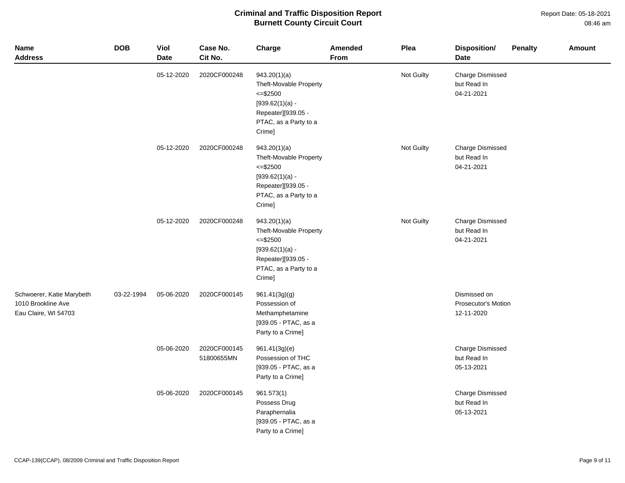Report Date: 05-18-2021 08:46 am

| <b>Name</b><br><b>Address</b>                                           | <b>DOB</b> | <b>Viol</b><br><b>Date</b> | Case No.<br>Cit No.        | Charge                                                                                                                                 | Amended<br>From | Plea       | <b>Disposition/</b><br><b>Date</b>                   | <b>Penalty</b> | <b>Amount</b> |
|-------------------------------------------------------------------------|------------|----------------------------|----------------------------|----------------------------------------------------------------------------------------------------------------------------------------|-----------------|------------|------------------------------------------------------|----------------|---------------|
|                                                                         |            | 05-12-2020                 | 2020CF000248               | 943.20(1)(a)<br>Theft-Movable Property<br>$<=$ \$2500<br>$[939.62(1)(a) -$<br>Repeater][939.05 -<br>PTAC, as a Party to a<br>Crime]    |                 | Not Guilty | <b>Charge Dismissed</b><br>but Read In<br>04-21-2021 |                |               |
|                                                                         |            | 05-12-2020                 | 2020CF000248               | 943.20(1)(a)<br>Theft-Movable Property<br>$\le$ = \$2500<br>$[939.62(1)(a) -$<br>Repeater][939.05 -<br>PTAC, as a Party to a<br>Crime] |                 | Not Guilty | <b>Charge Dismissed</b><br>but Read In<br>04-21-2021 |                |               |
|                                                                         |            | 05-12-2020                 | 2020CF000248               | 943.20(1)(a)<br>Theft-Movable Property<br>$=<$ \$2500<br>$[939.62(1)(a) -$<br>Repeater][939.05 -<br>PTAC, as a Party to a<br>Crime]    |                 | Not Guilty | <b>Charge Dismissed</b><br>but Read In<br>04-21-2021 |                |               |
| Schwoerer, Katie Marybeth<br>1010 Brookline Ave<br>Eau Claire, WI 54703 | 03-22-1994 | 05-06-2020                 | 2020CF000145               | 961.41(3g)(g)<br>Possession of<br>Methamphetamine<br>[939.05 - PTAC, as a<br>Party to a Crime]                                         |                 |            | Dismissed on<br>Prosecutor's Motion<br>12-11-2020    |                |               |
|                                                                         |            | 05-06-2020                 | 2020CF000145<br>51800655MN | 961.41(3g)(e)<br>Possession of THC<br>[939.05 - PTAC, as a<br>Party to a Crime]                                                        |                 |            | <b>Charge Dismissed</b><br>but Read In<br>05-13-2021 |                |               |
|                                                                         |            | 05-06-2020                 | 2020CF000145               | 961.573(1)<br>Possess Drug<br>Paraphernalia<br>[939.05 - PTAC, as a<br>Party to a Crime]                                               |                 |            | <b>Charge Dismissed</b><br>but Read In<br>05-13-2021 |                |               |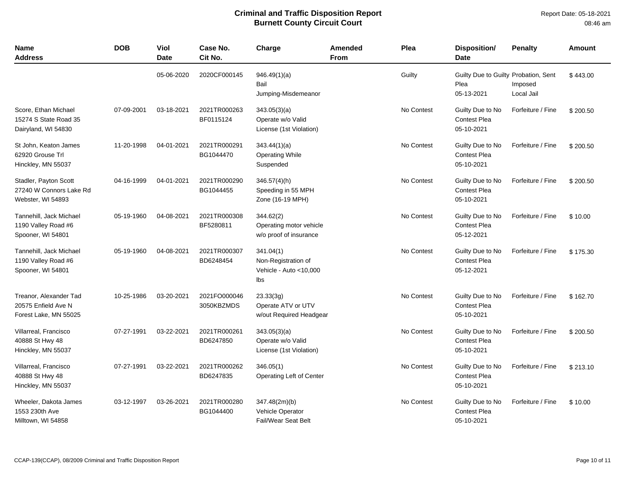| Name<br><b>Address</b>                                                 | <b>DOB</b> | <b>Viol</b><br><b>Date</b> | Case No.<br>Cit No.        | Charge                                                                 | Amended<br><b>From</b> | Plea       | <b>Disposition/</b><br><b>Date</b>                         | <b>Penalty</b>        | <b>Amount</b> |
|------------------------------------------------------------------------|------------|----------------------------|----------------------------|------------------------------------------------------------------------|------------------------|------------|------------------------------------------------------------|-----------------------|---------------|
|                                                                        |            | 05-06-2020                 | 2020CF000145               | 946.49(1)(a)<br>Bail<br>Jumping-Misdemeanor                            |                        | Guilty     | Guilty Due to Guilty Probation, Sent<br>Plea<br>05-13-2021 | Imposed<br>Local Jail | \$443.00      |
| Score, Ethan Michael<br>15274 S State Road 35<br>Dairyland, WI 54830   | 07-09-2001 | 03-18-2021                 | 2021TR000263<br>BF0115124  | 343.05(3)(a)<br>Operate w/o Valid<br>License (1st Violation)           |                        | No Contest | Guilty Due to No<br><b>Contest Plea</b><br>05-10-2021      | Forfeiture / Fine     | \$200.50      |
| St John, Keaton James<br>62920 Grouse Trl<br>Hinckley, MN 55037        | 11-20-1998 | 04-01-2021                 | 2021TR000291<br>BG1044470  | 343.44(1)(a)<br><b>Operating While</b><br>Suspended                    |                        | No Contest | Guilty Due to No<br><b>Contest Plea</b><br>05-10-2021      | Forfeiture / Fine     | \$200.50      |
| Stadler, Payton Scott<br>27240 W Connors Lake Rd<br>Webster, WI 54893  | 04-16-1999 | 04-01-2021                 | 2021TR000290<br>BG1044455  | 346.57(4)(h)<br>Speeding in 55 MPH<br>Zone (16-19 MPH)                 |                        | No Contest | Guilty Due to No<br><b>Contest Plea</b><br>05-10-2021      | Forfeiture / Fine     | \$200.50      |
| Tannehill, Jack Michael<br>1190 Valley Road #6<br>Spooner, WI 54801    | 05-19-1960 | 04-08-2021                 | 2021TR000308<br>BF5280811  | 344.62(2)<br>Operating motor vehicle<br>w/o proof of insurance         |                        | No Contest | Guilty Due to No<br><b>Contest Plea</b><br>05-12-2021      | Forfeiture / Fine     | \$10.00       |
| Tannehill, Jack Michael<br>1190 Valley Road #6<br>Spooner, WI 54801    | 05-19-1960 | 04-08-2021                 | 2021TR000307<br>BD6248454  | 341.04(1)<br>Non-Registration of<br>Vehicle - Auto <10,000<br>lbs      |                        | No Contest | Guilty Due to No<br><b>Contest Plea</b><br>05-12-2021      | Forfeiture / Fine     | \$175.30      |
| Treanor, Alexander Tad<br>20575 Enfield Ave N<br>Forest Lake, MN 55025 | 10-25-1986 | 03-20-2021                 | 2021FO000046<br>3050KBZMDS | 23.33(3q)<br>Operate ATV or UTV<br>w/out Required Headgear             |                        | No Contest | Guilty Due to No<br><b>Contest Plea</b><br>05-10-2021      | Forfeiture / Fine     | \$162.70      |
| Villarreal, Francisco<br>40888 St Hwy 48<br>Hinckley, MN 55037         | 07-27-1991 | 03-22-2021                 | 2021TR000261<br>BD6247850  | 343.05(3)(a)<br>Operate w/o Valid<br>License (1st Violation)           |                        | No Contest | Guilty Due to No<br><b>Contest Plea</b><br>05-10-2021      | Forfeiture / Fine     | \$200.50      |
| Villarreal, Francisco<br>40888 St Hwy 48<br>Hinckley, MN 55037         | 07-27-1991 | 03-22-2021                 | 2021TR000262<br>BD6247835  | 346.05(1)<br>Operating Left of Center                                  |                        | No Contest | Guilty Due to No<br>Contest Plea<br>05-10-2021             | Forfeiture / Fine     | \$213.10      |
| Wheeler, Dakota James<br>1553 230th Ave<br>Milltown, WI 54858          | 03-12-1997 | 03-26-2021                 | 2021TR000280<br>BG1044400  | 347.48(2m)(b)<br><b>Vehicle Operator</b><br><b>Fail/Wear Seat Belt</b> |                        | No Contest | Guilty Due to No<br>Contest Plea<br>05-10-2021             | Forfeiture / Fine     | \$10.00       |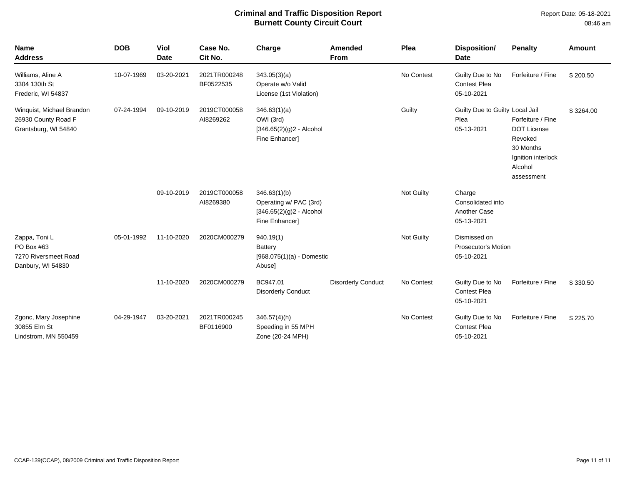Report Date: 05-18-2021 08:46 am

| <b>Name</b><br><b>Address</b>                                            | <b>DOB</b> | Viol<br><b>Date</b> | Case No.<br>Cit No.       | Charge                                                                                 | <b>Amended</b><br>From    | Plea              | Disposition/<br><b>Date</b>                               | <b>Penalty</b>                                                                                          | <b>Amount</b> |
|--------------------------------------------------------------------------|------------|---------------------|---------------------------|----------------------------------------------------------------------------------------|---------------------------|-------------------|-----------------------------------------------------------|---------------------------------------------------------------------------------------------------------|---------------|
| Williams, Aline A<br>3304 130th St<br>Frederic, WI 54837                 | 10-07-1969 | 03-20-2021          | 2021TR000248<br>BF0522535 | 343.05(3)(a)<br>Operate w/o Valid<br>License (1st Violation)                           |                           | No Contest        | Guilty Due to No<br><b>Contest Plea</b><br>05-10-2021     | Forfeiture / Fine                                                                                       | \$200.50      |
| Winquist, Michael Brandon<br>26930 County Road F<br>Grantsburg, WI 54840 | 07-24-1994 | 09-10-2019          | 2019CT000058<br>AI8269262 | 346.63(1)(a)<br>OWI (3rd)<br>$[346.65(2)(g)2 - Alcohol$<br>Fine Enhancer]              |                           | Guilty            | Guilty Due to Guilty Local Jail<br>Plea<br>05-13-2021     | Forfeiture / Fine<br>DOT License<br>Revoked<br>30 Months<br>Ignition interlock<br>Alcohol<br>assessment | \$3264.00     |
|                                                                          |            | 09-10-2019          | 2019CT000058<br>AI8269380 | 346.63(1)(b)<br>Operating w/ PAC (3rd)<br>$[346.65(2)(g)2 - Alcohol$<br>Fine Enhancer] |                           | <b>Not Guilty</b> | Charge<br>Consolidated into<br>Another Case<br>05-13-2021 |                                                                                                         |               |
| Zappa, Toni L<br>PO Box #63<br>7270 Riversmeet Road<br>Danbury, WI 54830 | 05-01-1992 | 11-10-2020          | 2020CM000279              | 940.19(1)<br><b>Battery</b><br>[968.075(1)(a) - Domestic<br>Abuse]                     |                           | <b>Not Guilty</b> | Dismissed on<br><b>Prosecutor's Motion</b><br>05-10-2021  |                                                                                                         |               |
|                                                                          |            | 11-10-2020          | 2020CM000279              | BC947.01<br><b>Disorderly Conduct</b>                                                  | <b>Disorderly Conduct</b> | No Contest        | Guilty Due to No<br><b>Contest Plea</b><br>05-10-2021     | Forfeiture / Fine                                                                                       | \$330.50      |
| Zgonc, Mary Josephine<br>30855 Elm St<br>Lindstrom, MN 550459            | 04-29-1947 | 03-20-2021          | 2021TR000245<br>BF0116900 | $346.57(4)$ (h)<br>Speeding in 55 MPH<br>Zone (20-24 MPH)                              |                           | No Contest        | Guilty Due to No<br><b>Contest Plea</b><br>05-10-2021     | Forfeiture / Fine                                                                                       | \$225.70      |